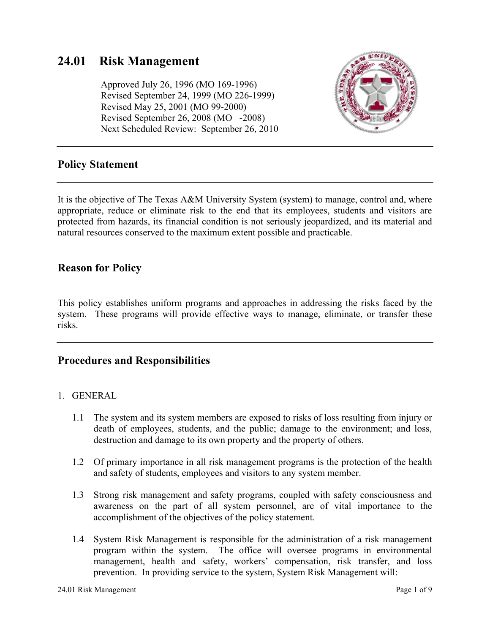# **24.01 Risk Management**

 Approved July 26, 1996 (MO 169-1996) Revised September 24, 1999 (MO 226-1999) Revised May 25, 2001 (MO 99-2000) Revised September 26, 2008 (MO -2008) Next Scheduled Review: September 26, 2010



### **Policy Statement**

It is the objective of The Texas A&M University System (system) to manage, control and, where appropriate, reduce or eliminate risk to the end that its employees, students and visitors are protected from hazards, its financial condition is not seriously jeopardized, and its material and natural resources conserved to the maximum extent possible and practicable.

## **Reason for Policy**

This policy establishes uniform programs and approaches in addressing the risks faced by the system. These programs will provide effective ways to manage, eliminate, or transfer these risks.

### **Procedures and Responsibilities**

#### 1. GENERAL

- 1.1 The system and its system members are exposed to risks of loss resulting from injury or death of employees, students, and the public; damage to the environment; and loss, destruction and damage to its own property and the property of others.
- 1.2 Of primary importance in all risk management programs is the protection of the health and safety of students, employees and visitors to any system member.
- 1.3 Strong risk management and safety programs, coupled with safety consciousness and awareness on the part of all system personnel, are of vital importance to the accomplishment of the objectives of the policy statement.
- 1.4 System Risk Management is responsible for the administration of a risk management program within the system. The office will oversee programs in environmental management, health and safety, workers' compensation, risk transfer, and loss prevention. In providing service to the system, System Risk Management will: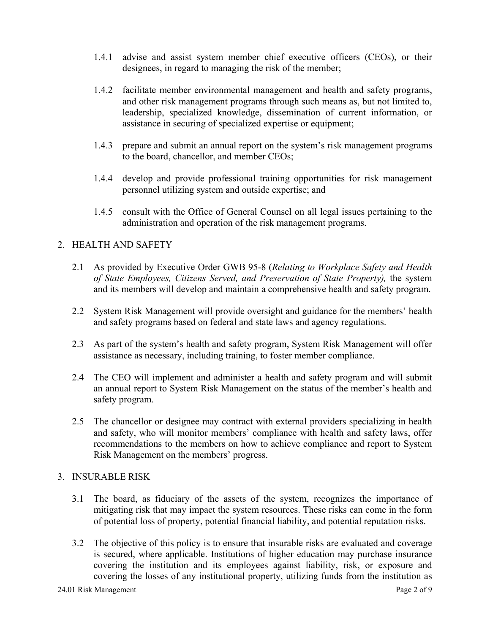- 1.4.1 advise and assist system member chief executive officers (CEOs), or their designees, in regard to managing the risk of the member;
- 1.4.2 facilitate member environmental management and health and safety programs, and other risk management programs through such means as, but not limited to, leadership, specialized knowledge, dissemination of current information, or assistance in securing of specialized expertise or equipment;
- 1.4.3 prepare and submit an annual report on the system's risk management programs to the board, chancellor, and member CEOs;
- 1.4.4 develop and provide professional training opportunities for risk management personnel utilizing system and outside expertise; and
- 1.4.5 consult with the Office of General Counsel on all legal issues pertaining to the administration and operation of the risk management programs.

### 2. HEALTH AND SAFETY

- 2.1 As provided by Executive Order GWB 95-8 (*Relating to Workplace Safety and Health of State Employees, Citizens Served, and Preservation of State Property),* the system and its members will develop and maintain a comprehensive health and safety program.
- 2.2 System Risk Management will provide oversight and guidance for the members' health and safety programs based on federal and state laws and agency regulations.
- 2.3 As part of the system's health and safety program, System Risk Management will offer assistance as necessary, including training, to foster member compliance.
- 2.4 The CEO will implement and administer a health and safety program and will submit an annual report to System Risk Management on the status of the member's health and safety program.
- 2.5 The chancellor or designee may contract with external providers specializing in health and safety, who will monitor members' compliance with health and safety laws, offer recommendations to the members on how to achieve compliance and report to System Risk Management on the members' progress.

#### 3. INSURABLE RISK

- 3.1 The board, as fiduciary of the assets of the system, recognizes the importance of mitigating risk that may impact the system resources. These risks can come in the form of potential loss of property, potential financial liability, and potential reputation risks.
- 3.2 The objective of this policy is to ensure that insurable risks are evaluated and coverage is secured, where applicable. Institutions of higher education may purchase insurance covering the institution and its employees against liability, risk, or exposure and covering the losses of any institutional property, utilizing funds from the institution as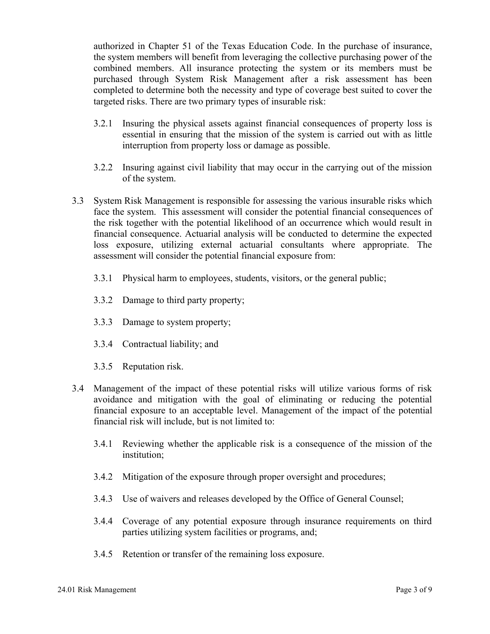authorized in Chapter 51 of the Texas Education Code. In the purchase of insurance, the system members will benefit from leveraging the collective purchasing power of the combined members. All insurance protecting the system or its members must be purchased through System Risk Management after a risk assessment has been completed to determine both the necessity and type of coverage best suited to cover the targeted risks. There are two primary types of insurable risk:

- 3.2.1 Insuring the physical assets against financial consequences of property loss is essential in ensuring that the mission of the system is carried out with as little interruption from property loss or damage as possible.
- 3.2.2 Insuring against civil liability that may occur in the carrying out of the mission of the system.
- 3.3 System Risk Management is responsible for assessing the various insurable risks which face the system. This assessment will consider the potential financial consequences of the risk together with the potential likelihood of an occurrence which would result in financial consequence. Actuarial analysis will be conducted to determine the expected loss exposure, utilizing external actuarial consultants where appropriate. The assessment will consider the potential financial exposure from:
	- 3.3.1 Physical harm to employees, students, visitors, or the general public;
	- 3.3.2 Damage to third party property;
	- 3.3.3 Damage to system property;
	- 3.3.4 Contractual liability; and
	- 3.3.5 Reputation risk.
- 3.4 Management of the impact of these potential risks will utilize various forms of risk avoidance and mitigation with the goal of eliminating or reducing the potential financial exposure to an acceptable level. Management of the impact of the potential financial risk will include, but is not limited to:
	- 3.4.1 Reviewing whether the applicable risk is a consequence of the mission of the institution;
	- 3.4.2 Mitigation of the exposure through proper oversight and procedures;
	- 3.4.3 Use of waivers and releases developed by the Office of General Counsel;
	- 3.4.4 Coverage of any potential exposure through insurance requirements on third parties utilizing system facilities or programs, and;
	- 3.4.5 Retention or transfer of the remaining loss exposure.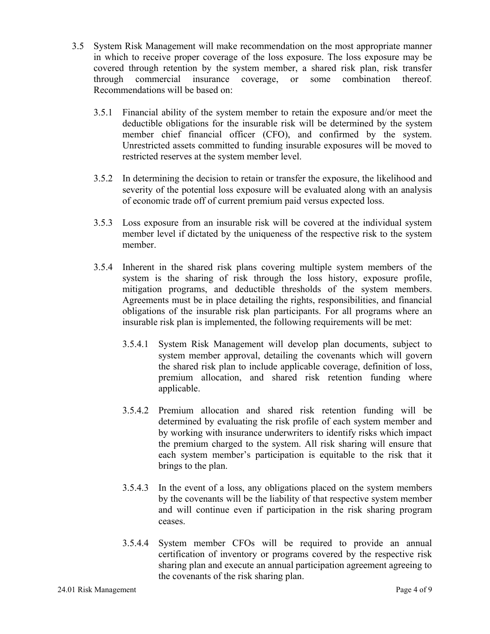- 3.5 System Risk Management will make recommendation on the most appropriate manner in which to receive proper coverage of the loss exposure. The loss exposure may be covered through retention by the system member, a shared risk plan, risk transfer through commercial insurance coverage, or some combination thereof. Recommendations will be based on:
	- 3.5.1 Financial ability of the system member to retain the exposure and/or meet the deductible obligations for the insurable risk will be determined by the system member chief financial officer (CFO), and confirmed by the system. Unrestricted assets committed to funding insurable exposures will be moved to restricted reserves at the system member level.
	- 3.5.2 In determining the decision to retain or transfer the exposure, the likelihood and severity of the potential loss exposure will be evaluated along with an analysis of economic trade off of current premium paid versus expected loss.
	- 3.5.3 Loss exposure from an insurable risk will be covered at the individual system member level if dictated by the uniqueness of the respective risk to the system member.
	- 3.5.4 Inherent in the shared risk plans covering multiple system members of the system is the sharing of risk through the loss history, exposure profile, mitigation programs, and deductible thresholds of the system members. Agreements must be in place detailing the rights, responsibilities, and financial obligations of the insurable risk plan participants. For all programs where an insurable risk plan is implemented, the following requirements will be met:
		- 3.5.4.1 System Risk Management will develop plan documents, subject to system member approval, detailing the covenants which will govern the shared risk plan to include applicable coverage, definition of loss, premium allocation, and shared risk retention funding where applicable.
		- 3.5.4.2 Premium allocation and shared risk retention funding will be determined by evaluating the risk profile of each system member and by working with insurance underwriters to identify risks which impact the premium charged to the system. All risk sharing will ensure that each system member's participation is equitable to the risk that it brings to the plan.
		- 3.5.4.3 In the event of a loss, any obligations placed on the system members by the covenants will be the liability of that respective system member and will continue even if participation in the risk sharing program ceases.
		- 3.5.4.4 System member CFOs will be required to provide an annual certification of inventory or programs covered by the respective risk sharing plan and execute an annual participation agreement agreeing to the covenants of the risk sharing plan.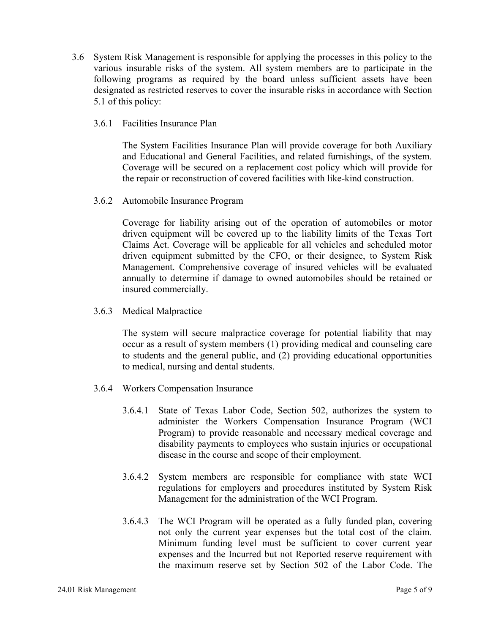- 3.6 System Risk Management is responsible for applying the processes in this policy to the various insurable risks of the system. All system members are to participate in the following programs as required by the board unless sufficient assets have been designated as restricted reserves to cover the insurable risks in accordance with Section 5.1 of this policy:
	- 3.6.1 Facilities Insurance Plan

 The System Facilities Insurance Plan will provide coverage for both Auxiliary and Educational and General Facilities, and related furnishings, of the system. Coverage will be secured on a replacement cost policy which will provide for the repair or reconstruction of covered facilities with like-kind construction.

3.6.2 Automobile Insurance Program

 Coverage for liability arising out of the operation of automobiles or motor driven equipment will be covered up to the liability limits of the Texas Tort Claims Act. Coverage will be applicable for all vehicles and scheduled motor driven equipment submitted by the CFO, or their designee, to System Risk Management. Comprehensive coverage of insured vehicles will be evaluated annually to determine if damage to owned automobiles should be retained or insured commercially.

3.6.3 Medical Malpractice

 The system will secure malpractice coverage for potential liability that may occur as a result of system members (1) providing medical and counseling care to students and the general public, and (2) providing educational opportunities to medical, nursing and dental students.

- 3.6.4 Workers Compensation Insurance
	- 3.6.4.1 State of Texas Labor Code, Section 502, authorizes the system to administer the Workers Compensation Insurance Program (WCI Program) to provide reasonable and necessary medical coverage and disability payments to employees who sustain injuries or occupational disease in the course and scope of their employment.
	- 3.6.4.2 System members are responsible for compliance with state WCI regulations for employers and procedures instituted by System Risk Management for the administration of the WCI Program.
	- 3.6.4.3 The WCI Program will be operated as a fully funded plan, covering not only the current year expenses but the total cost of the claim. Minimum funding level must be sufficient to cover current year expenses and the Incurred but not Reported reserve requirement with the maximum reserve set by Section 502 of the Labor Code. The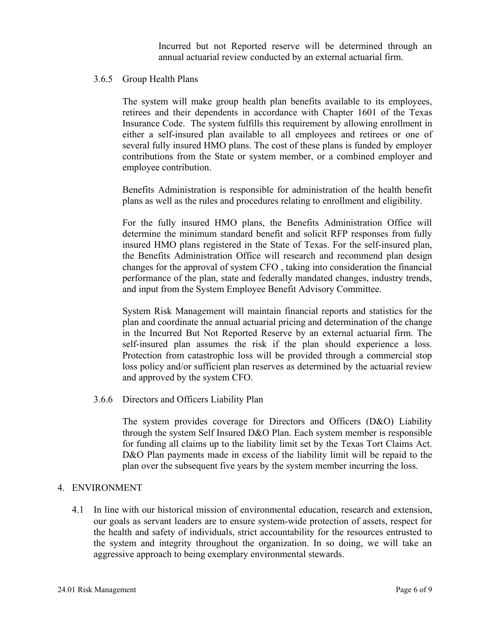Incurred but not Reported reserve will be determined through an annual actuarial review conducted by an external actuarial firm.

#### 3.6.5 Group Health Plans

The system will make group health plan benefits available to its employees, retirees and their dependents in accordance with Chapter 1601 of the Texas Insurance Code. The system fulfills this requirement by allowing enrollment in either a self-insured plan available to all employees and retirees or one of several fully insured HMO plans. The cost of these plans is funded by employer contributions from the State or system member, or a combined employer and employee contribution.

Benefits Administration is responsible for administration of the health benefit plans as well as the rules and procedures relating to enrollment and eligibility.

For the fully insured HMO plans, the Benefits Administration Office will determine the minimum standard benefit and solicit RFP responses from fully insured HMO plans registered in the State of Texas. For the self-insured plan, the Benefits Administration Office will research and recommend plan design changes for the approval of system CFO , taking into consideration the financial performance of the plan, state and federally mandated changes, industry trends, and input from the System Employee Benefit Advisory Committee.

System Risk Management will maintain financial reports and statistics for the plan and coordinate the annual actuarial pricing and determination of the change in the Incurred But Not Reported Reserve by an external actuarial firm. The self-insured plan assumes the risk if the plan should experience a loss. Protection from catastrophic loss will be provided through a commercial stop loss policy and/or sufficient plan reserves as determined by the actuarial review and approved by the system CFO.

3.6.6 Directors and Officers Liability Plan

The system provides coverage for Directors and Officers (D&O) Liability through the system Self Insured D&O Plan. Each system member is responsible for funding all claims up to the liability limit set by the Texas Tort Claims Act. D&O Plan payments made in excess of the liability limit will be repaid to the plan over the subsequent five years by the system member incurring the loss.

#### 4. ENVIRONMENT

4.1 In line with our historical mission of environmental education, research and extension, our goals as servant leaders are to ensure system-wide protection of assets, respect for the health and safety of individuals, strict accountability for the resources entrusted to the system and integrity throughout the organization. In so doing, we will take an aggressive approach to being exemplary environmental stewards.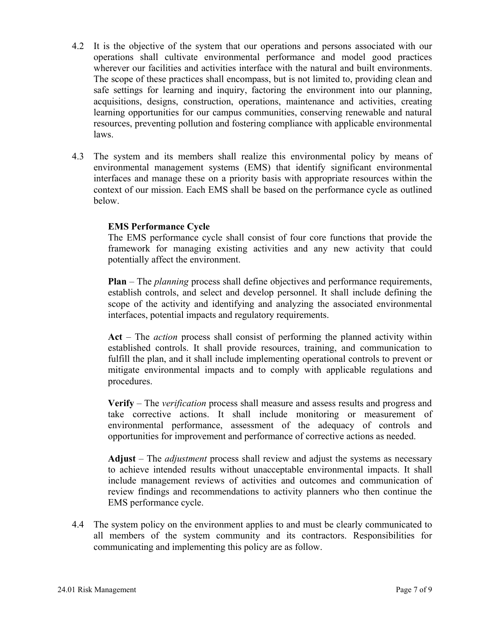- 4.2 It is the objective of the system that our operations and persons associated with our operations shall cultivate environmental performance and model good practices wherever our facilities and activities interface with the natural and built environments. The scope of these practices shall encompass, but is not limited to, providing clean and safe settings for learning and inquiry, factoring the environment into our planning, acquisitions, designs, construction, operations, maintenance and activities, creating learning opportunities for our campus communities, conserving renewable and natural resources, preventing pollution and fostering compliance with applicable environmental laws.
- 4.3 The system and its members shall realize this environmental policy by means of environmental management systems (EMS) that identify significant environmental interfaces and manage these on a priority basis with appropriate resources within the context of our mission. Each EMS shall be based on the performance cycle as outlined below.

### **EMS Performance Cycle**

The EMS performance cycle shall consist of four core functions that provide the framework for managing existing activities and any new activity that could potentially affect the environment.

**Plan** – The *planning* process shall define objectives and performance requirements, establish controls, and select and develop personnel. It shall include defining the scope of the activity and identifying and analyzing the associated environmental interfaces, potential impacts and regulatory requirements.

**Act** – The *action* process shall consist of performing the planned activity within established controls. It shall provide resources, training, and communication to fulfill the plan, and it shall include implementing operational controls to prevent or mitigate environmental impacts and to comply with applicable regulations and procedures.

**Verify** – The *verification* process shall measure and assess results and progress and take corrective actions. It shall include monitoring or measurement of environmental performance, assessment of the adequacy of controls and opportunities for improvement and performance of corrective actions as needed.

**Adjust** – The *adjustment* process shall review and adjust the systems as necessary to achieve intended results without unacceptable environmental impacts. It shall include management reviews of activities and outcomes and communication of review findings and recommendations to activity planners who then continue the EMS performance cycle.

4.4 The system policy on the environment applies to and must be clearly communicated to all members of the system community and its contractors. Responsibilities for communicating and implementing this policy are as follow.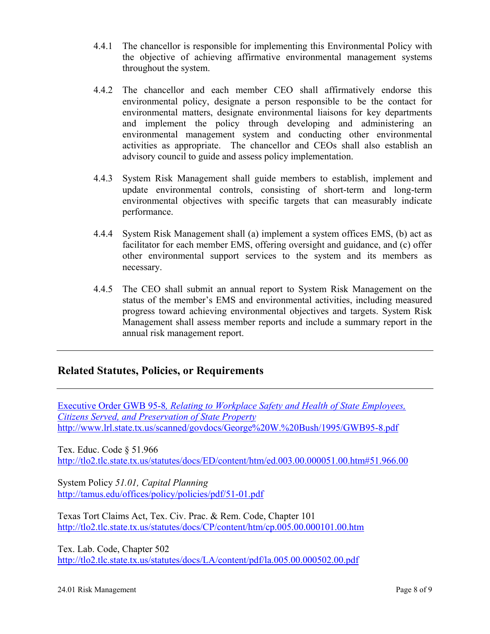- 4.4.1 The chancellor is responsible for implementing this Environmental Policy with the objective of achieving affirmative environmental management systems throughout the system.
- 4.4.2 The chancellor and each member CEO shall affirmatively endorse this environmental policy, designate a person responsible to be the contact for environmental matters, designate environmental liaisons for key departments and implement the policy through developing and administering an environmental management system and conducting other environmental activities as appropriate. The chancellor and CEOs shall also establish an advisory council to guide and assess policy implementation.
- 4.4.3 System Risk Management shall guide members to establish, implement and update environmental controls, consisting of short-term and long-term environmental objectives with specific targets that can measurably indicate performance.
- 4.4.4 System Risk Management shall (a) implement a system offices EMS, (b) act as facilitator for each member EMS, offering oversight and guidance, and (c) offer other environmental support services to the system and its members as necessary.
- 4.4.5 The CEO shall submit an annual report to System Risk Management on the status of the member's EMS and environmental activities, including measured progress toward achieving environmental objectives and targets. System Risk Management shall assess member reports and include a summary report in the annual risk management report.

## **Related Statutes, Policies, or Requirements**

Executive Order GWB 95-8*, Relating to Workplace Safety and Health of State Employees, Citizens Served, and Preservation of State Property* http://www.lrl.state.tx.us/scanned/govdocs/George%20W.%20Bush/1995/GWB95-8.pdf

Tex. Educ. Code § 51.966 http://tlo2.tlc.state.tx.us/statutes/docs/ED/content/htm/ed.003.00.000051.00.htm#51.966.00

System Policy *51.01, Capital Planning*  http://tamus.edu/offices/policy/policies/pdf/51-01.pdf

Texas Tort Claims Act, Tex. Civ. Prac. & Rem. Code, Chapter 101 http://tlo2.tlc.state.tx.us/statutes/docs/CP/content/htm/cp.005.00.000101.00.htm

Tex. Lab. Code, Chapter 502 http://tlo2.tlc.state.tx.us/statutes/docs/LA/content/pdf/la.005.00.000502.00.pdf